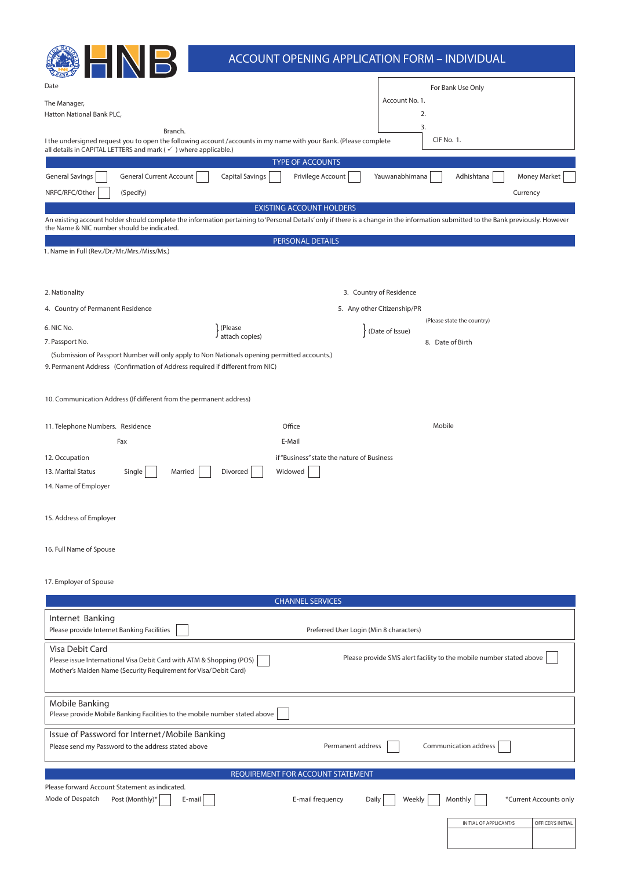|                                                                                                                                                                                                                                  | <b>ACCOUNT OPENING APPLICATION FORM - INDIVIDUAL</b> |                                         |                                                                     |
|----------------------------------------------------------------------------------------------------------------------------------------------------------------------------------------------------------------------------------|------------------------------------------------------|-----------------------------------------|---------------------------------------------------------------------|
| Date                                                                                                                                                                                                                             |                                                      |                                         | For Bank Use Only                                                   |
| The Manager,                                                                                                                                                                                                                     |                                                      | Account No. 1.                          |                                                                     |
| Hatton National Bank PLC,                                                                                                                                                                                                        |                                                      | 2.                                      |                                                                     |
| Branch.<br>I the undersigned request you to open the following account/accounts in my name with your Bank. (Please complete<br>all details in CAPITAL LETTERS and mark (√) where applicable.)                                    |                                                      | 3.                                      | <b>CIF No. 1.</b>                                                   |
|                                                                                                                                                                                                                                  | <b>TYPE OF ACCOUNTS</b>                              |                                         |                                                                     |
| <b>General Current Account</b><br><b>General Savings</b>                                                                                                                                                                         | Privilege Account<br><b>Capital Savings</b>          | Yauwanabhimana                          | <b>Money Market</b><br>Adhishtana                                   |
| NRFC/RFC/Other<br>(Specify)                                                                                                                                                                                                      |                                                      |                                         | Currency                                                            |
| An existing account holder should complete the information pertaining to 'Personal Details' only if there is a change in the information submitted to the Bank previously. However<br>the Name & NIC number should be indicated. | <b>EXISTING ACCOUNT HOLDERS</b>                      |                                         |                                                                     |
| 1. Name in Full (Rev./Dr./Mr./Mrs./Miss/Ms.)                                                                                                                                                                                     | PERSONAL DETAILS                                     |                                         |                                                                     |
|                                                                                                                                                                                                                                  |                                                      |                                         |                                                                     |
| 2. Nationality                                                                                                                                                                                                                   |                                                      | 3. Country of Residence                 |                                                                     |
| 4. Country of Permanent Residence                                                                                                                                                                                                |                                                      | 5. Any other Citizenship/PR             | (Please state the country)                                          |
| 6. NIC No.                                                                                                                                                                                                                       | (Please<br>J attach copies)                          | (Date of Issue)                         |                                                                     |
| 7. Passport No.                                                                                                                                                                                                                  |                                                      |                                         | 8. Date of Birth                                                    |
| (Submission of Passport Number will only apply to Non Nationals opening permitted accounts.)<br>9. Permanent Address (Confirmation of Address required if different from NIC)                                                    |                                                      |                                         |                                                                     |
| 10. Communication Address (If different from the permanent address)                                                                                                                                                              |                                                      |                                         |                                                                     |
| 11. Telephone Numbers. Residence                                                                                                                                                                                                 | Office                                               |                                         | Mobile                                                              |
| Fax                                                                                                                                                                                                                              | E-Mail                                               |                                         |                                                                     |
| 12. Occupation                                                                                                                                                                                                                   | if "Business" state the nature of Business           |                                         |                                                                     |
| 13. Marital Status<br>Single<br>Married                                                                                                                                                                                          | Divorced<br>Widowed                                  |                                         |                                                                     |
| 14. Name of Employer                                                                                                                                                                                                             |                                                      |                                         |                                                                     |
| 15. Address of Employer                                                                                                                                                                                                          |                                                      |                                         |                                                                     |
| 16. Full Name of Spouse                                                                                                                                                                                                          |                                                      |                                         |                                                                     |
| 17. Employer of Spouse                                                                                                                                                                                                           |                                                      |                                         |                                                                     |
|                                                                                                                                                                                                                                  | <b>CHANNEL SERVICES</b>                              |                                         |                                                                     |
| Internet Banking<br>Please provide Internet Banking Facilities                                                                                                                                                                   |                                                      | Preferred User Login (Min 8 characters) |                                                                     |
| Visa Debit Card<br>Please issue International Visa Debit Card with ATM & Shopping (POS)<br>Mother's Maiden Name (Security Requirement for Visa/Debit Card)                                                                       |                                                      |                                         | Please provide SMS alert facility to the mobile number stated above |
| Mobile Banking<br>Please provide Mobile Banking Facilities to the mobile number stated above                                                                                                                                     |                                                      |                                         |                                                                     |
| Issue of Password for Internet/Mobile Banking<br>Please send my Password to the address stated above                                                                                                                             |                                                      | Permanent address                       | Communication address                                               |
|                                                                                                                                                                                                                                  | REQUIREMENT FOR ACCOUNT STATEMENT                    |                                         |                                                                     |
| Please forward Account Statement as indicated.<br>Mode of Despatch<br>Post (Monthly)*<br>E-mail                                                                                                                                  | E-mail frequency                                     | Weekly<br>Daily                         | *Current Accounts only<br>Monthly                                   |
|                                                                                                                                                                                                                                  |                                                      |                                         | INITIAL OF APPLICANT/S<br>OFFICER'S INITIAL                         |